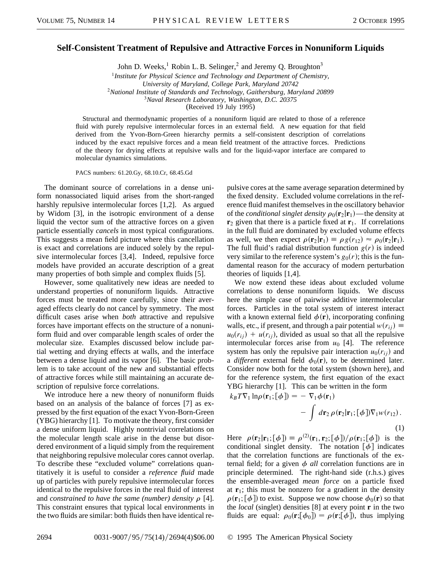## **Self-Consistent Treatment of Repulsive and Attractive Forces in Nonuniform Liquids**

John D. Weeks,<sup>1</sup> Robin L. B. Selinger,<sup>2</sup> and Jeremy Q. Broughton<sup>3</sup>

<sup>1</sup>*Institute for Physical Science and Technology and Department of Chemistry,*

*University of Maryland, College Park, Maryland 20742*

<sup>2</sup>*National Institute of Standards and Technology, Gaithersburg, Maryland 20899*

<sup>3</sup>*Naval Research Laboratory, Washington, D.C. 20375*

(Received 19 July 1995)

Structural and thermodynamic properties of a nonuniform liquid are related to those of a reference fluid with purely repulsive intermolecular forces in an external field. A new equation for that field derived from the Yvon-Born-Green hierarchy permits a self-consistent description of correlations induced by the exact repulsive forces and a mean field treatment of the attractive forces. Predictions of the theory for drying effects at repulsive walls and for the liquid-vapor interface are compared to molecular dynamics simulations.

PACS numbers: 61.20.Gy, 68.10.Cr, 68.45.Gd

The dominant source of correlations in a dense uniform nonassociated liquid arises from the short-ranged harshly repulsive intermolecular forces [1,2]. As argued by Widom [3], in the isotropic environment of a dense liquid the vector sum of the attractive forces on a given particle essentially *cancels* in most typical configurations. This suggests a mean field picture where this cancellation is exact and correlations are induced solely by the repulsive intermolecular forces [3,4]. Indeed, repulsive force models have provided an accurate description of a great many properties of both simple and complex fluids [5].

However, some qualitatively new ideas are needed to understand properties of nonuniform liquids. Attractive forces must be treated more carefully, since their averaged effects clearly do not cancel by symmetry. The most difficult cases arise when *both* attractive and repulsive forces have important effects on the structure of a nonuniform fluid and over comparable length scales of order the molecular size. Examples discussed below include partial wetting and drying effects at walls, and the interface between a dense liquid and its vapor [6]. The basic problem is to take account of the new and substantial effects of attractive forces while still maintaining an accurate description of repulsive force correlations.

We introduce here a new theory of nonuniform fluids based on an analysis of the balance of forces [7] as expressed by the first equation of the exact Yvon-Born-Green (YBG) hierarchy [1]. To motivate the theory, first consider a dense uniform liquid. Highly nontrivial correlations on the molecular length scale arise in the dense but disordered environment of a liquid simply from the requirement that neighboring repulsive molecular cores cannot overlap. To describe these "excluded volume" correlations quantitatively it is useful to consider a *reference fluid* made up of particles with purely repulsive intermolecular forces identical to the repulsive forces in the real fluid of interest and *constrained to have the same (number) density*  $\rho$  [4]. This constraint ensures that typical local environments in the two fluids are similar: both fluids then have identical repulsive cores at the same average separation determined by the fixed density. Excluded volume correlations in the reference fluid manifest themselves in the oscillatory behavior of the *conditional singlet density*  $\rho_0(\mathbf{r}_2|\mathbf{r}_1)$ —the density at  $\mathbf{r}_2$  given that there is a particle fixed at  $\mathbf{r}_1$ . If correlations in the full fluid are dominated by excluded volume effects as well, we then expect  $\rho(\mathbf{r}_2|\mathbf{r}_1) \equiv \rho g(r_{12}) \approx \rho_0(\mathbf{r}_2|\mathbf{r}_1)$ . The full fluid's radial distribution function  $g(r)$  is indeed very similar to the reference system's  $g_0(r)$ ; this is the fundamental reason for the accuracy of modern perturbation theories of liquids [1,4].

We now extend these ideas about excluded volume correlations to dense nonuniform liquids. We discuss here the simple case of pairwise additive intermolecular forces. Particles in the total system of interest interact with a known external field  $\phi(\mathbf{r})$ , incorporating confining walls, etc., if present, and through a pair potential  $w(r_{ii}) \equiv$  $u_0(r_{ii}) + u(r_{ii})$ , divided as usual so that all the repulsive intermolecular forces arise from  $u_0$  [4]. The reference system has only the repulsive pair interaction  $u_0(r_{ij})$  and a *different* external field  $\phi_0(\mathbf{r})$ , to be determined later. Consider now both for the total system (shown here), and for the reference system, the first equation of the exact YBG hierarchy [1]. This can be written in the form

$$
k_B T \nabla_1 \ln \rho(\mathbf{r}_1; [\phi]) = - \nabla_1 \phi(\mathbf{r}_1) - \int d\mathbf{r}_2 \rho(\mathbf{r}_2 | \mathbf{r}_1; [\phi]) \nabla_1 w(r_{12}).
$$
\n(1)

Here  $\rho(\mathbf{r}_2|\mathbf{r}_1; [\phi]) \equiv \rho^{(2)}(\mathbf{r}_1, \mathbf{r}_2; [\phi]) / \rho(\mathbf{r}_1; [\phi])$  is the conditional singlet density. The notation  $\lceil \phi \rceil$  indicates that the correlation functions are functionals of the external field; for a given  $\phi$  *all* correlation functions are in principle determined. The right-hand side (r.h.s.) gives the ensemble-averaged *mean force* on a particle fixed at  $\mathbf{r}_1$ ; this must be nonzero for a gradient in the density  $\rho(\mathbf{r}_1; [\phi])$  to exist. Suppose we now choose  $\phi_0(\mathbf{r})$  so that the *local* (singlet) densities [8] at every point **r** in the two fluids are equal:  $\rho_0(\mathbf{r};[\phi_0]) = \rho(\mathbf{r};[\phi])$ , thus implying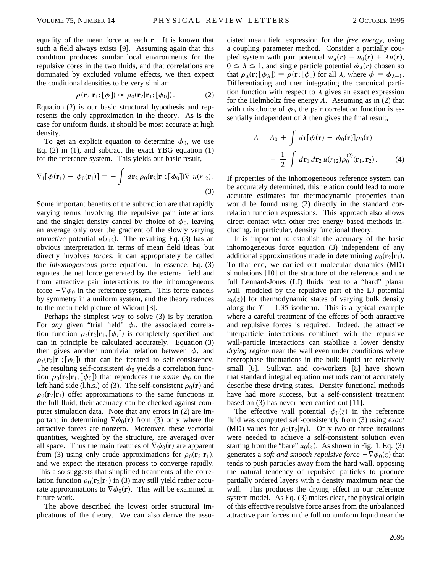equality of the mean force at each **r**. It is known that such a field always exists [9]. Assuming again that this condition produces similar local environments for the repulsive cores in the two fluids, and that correlations are dominated by excluded volume effects, we then expect the conditional densities to be very similar:

$$
\rho(\mathbf{r}_2|\mathbf{r}_1; [\phi]) \approx \rho_0(\mathbf{r}_2|\mathbf{r}_1; [\phi_0]). \tag{2}
$$

Equation (2) is our basic structural hypothesis and represents the only approximation in the theory. As is the case for uniform fluids, it should be most accurate at high density.

To get an explicit equation to determine  $\phi_0$ , we use Eq. (2) in (1), and subtract the exact YBG equation (1) for the reference system. This yields our basic result,

$$
\nabla_1[\phi(\mathbf{r}_1) - \phi_0(\mathbf{r}_1)] = -\int d\mathbf{r}_2 \,\rho_0(\mathbf{r}_2|\mathbf{r}_1; [\phi_0]) \nabla_1 u(r_{12}).
$$
\n(3)

Some important benefits of the subtraction are that rapidly varying terms involving the repulsive pair interactions and the singlet density cancel by choice of  $\phi_0$ , leaving an average only over the gradient of the slowly varying *attractive* potential  $u(r_{12})$ . The resulting Eq. (3) has an obvious interpretation in terms of mean field ideas, but directly involves *forces*; it can appropriately be called the *inhomogeneous force* equation. In essence, Eq. (3) equates the net force generated by the external field and from attractive pair interactions to the inhomogeneous force  $-\nabla \phi_0$  in the reference system. This force cancels by symmetry in a uniform system, and the theory reduces to the mean field picture of Widom [3].

Perhaps the simplest way to solve (3) is by iteration. For *any* given "trial field"  $\phi_t$ , the associated correlation function  $\rho_t(\mathbf{r}_2|\mathbf{r}_1; [\phi_t])$  is completely specified and can in principle be calculated accurately. Equation (3) then gives another nontrivial relation between  $\phi_t$  and  $\rho_t(\mathbf{r}_2|\mathbf{r}_1; [\phi_t])$  that can be iterated to self-consistency. The resulting self-consistent  $\phi_0$  yields a correlation function  $\rho_0(\mathbf{r}_2|\mathbf{r}_1; [\phi_0])$  that reproduces the *same*  $\phi_0$  on the left-hand side (l.h.s.) of (3). The self-consistent  $\rho_0(\mathbf{r})$  and  $\rho_0(\mathbf{r}_2|\mathbf{r}_1)$  offer approximations to the same functions in the full fluid; their accuracy can be checked against computer simulation data. Note that any errors in (2) are important in determining  $\nabla \phi_0(\mathbf{r})$  from (3) only where the attractive forces are nonzero. Moreover, these vectorial quantities, weighted by the structure, are averaged over all space. Thus the main features of  $\nabla \phi_0(\mathbf{r})$  are apparent from (3) using only crude approximations for  $\rho_0(\mathbf{r}_2|\mathbf{r}_1)$ , and we expect the iteration process to converge rapidly. This also suggests that simplified treatments of the correlation function  $\rho_0(\mathbf{r}_2|\mathbf{r}_1)$  in (3) may still yield rather accurate approximations to  $\nabla \phi_0(\mathbf{r})$ . This will be examined in future work.

The above described the lowest order structural implications of the theory. We can also derive the asso-

ciated mean field expression for the *free energy*, using a coupling parameter method. Consider a partially coupled system with pair potential  $w_{\lambda}(r) \equiv u_0(r) + \lambda u(r)$ ,  $0 \leq \lambda \leq 1$ , and single particle potential  $\phi_{\lambda}(r)$  chosen so that  $\rho_{\lambda}(\mathbf{r}; [\phi_{\lambda}]) = \rho(\mathbf{r}; [\phi])$  for all  $\lambda$ , where  $\phi = \phi_{\lambda=1}$ . Differentiating and then integrating the canonical partition function with respect to  $\lambda$  gives an exact expression for the Helmholtz free energy *A*. Assuming as in (2) that with this choice of  $\phi_{\lambda}$  the pair correlation function is essentially independent of  $\lambda$  then gives the final result,

$$
A = A_0 + \int d\mathbf{r} [\phi(\mathbf{r}) - \phi_0(\mathbf{r})] \rho_0(\mathbf{r})
$$

$$
+ \frac{1}{2} \int d\mathbf{r}_1 d\mathbf{r}_2 u(r_{12}) \rho_0^{(2)}(\mathbf{r}_1, \mathbf{r}_2).
$$
 (4)

If properties of the inhomogeneous reference system can be accurately determined, this relation could lead to more accurate estimates for thermodynamic properties than would be found using (2) directly in the standard correlation function expressions. This approach also allows direct contact with other free energy based methods including, in particular, density functional theory.

It is important to establish the accuracy of the basic inhomogeneous force equation (3) independent of any additional approximations made in determining  $\rho_0(\mathbf{r}_2|\mathbf{r}_1)$ . To that end, we carried out molecular dynamics (MD) simulations [10] of the structure of the reference and the full Lennard-Jones (LJ) fluids next to a "hard" planar wall [modeled by the repulsive part of the LJ potential  $u_0(z)$ ] for thermodynamic states of varying bulk density along the  $T = 1.35$  isotherm. This is a typical example where a careful treatment of the effects of both attractive and repulsive forces is required. Indeed, the attractive interparticle interactions combined with the repulsive wall-particle interactions can stabilize a lower density *drying region* near the wall even under conditions where heterophase fluctuations in the bulk liquid are relatively small [6]. Sullivan and co-workers [8] have shown that standard integral equation methods cannot accurately describe these drying states. Density functional methods have had more success, but a self-consistent treatment based on (3) has never been carried out [11].

The effective wall potential  $\phi_0(z)$  in the reference fluid was computed self-consistently from (3) using *exact* (MD) values for  $\rho_0(\mathbf{r}_2|\mathbf{r}_1)$ . Only two or three iterations were needed to achieve a self-consistent solution even starting from the "bare"  $u_0(z)$ . As shown in Fig. 1, Eq. (3) generates a *soft and smooth repulsive force*  $-\nabla \phi_0(z)$  that tends to push particles away from the hard wall, opposing the natural tendency of repulsive particles to produce partially ordered layers with a density maximum near the wall. This produces the drying effect in our reference system model. As Eq. (3) makes clear, the physical origin of this effective repulsive force arises from the unbalanced attractive pair forces in the full nonuniform liquid near the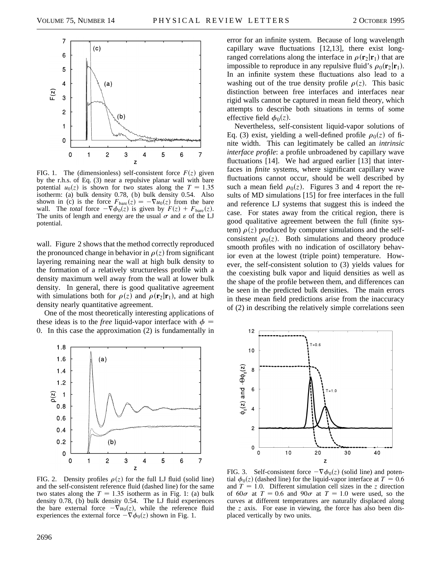

FIG. 1. The (dimensionless) self-consistent force  $F(z)$  given by the r.h.s. of Eq. (3) near a repulsive planar wall with bare potential  $u_0(z)$  is shown for two states along the  $T = 1.35$ isotherm: (a) bulk density 0.78, (b) bulk density 0.54. Also shown in (c) is the force  $F_{\text{bare}}(z) = -\nabla u_0(z)$  from the bare wall. The *total* force  $-\nabla \phi_0(z)$  is given by  $F(z) + F_{\text{bare}}(z)$ . The units of length and energy are the usual  $\sigma$  and  $\varepsilon$  of the LJ potential.

wall. Figure 2 shows that the method correctly reproduced the pronounced change in behavior in  $\rho(z)$  from significant layering remaining near the wall at high bulk density to the formation of a relatively structureless profile with a density maximum well away from the wall at lower bulk density. In general, there is good qualitative agreement with simulations both for  $\rho(z)$  and  $\rho(\mathbf{r}_2|\mathbf{r}_1)$ , and at high density nearly quantitative agreement.

One of the most theoretically interesting applications of these ideas is to the *free* liquid-vapor interface with  $\phi$  = 0. In this case the approximation (2) is fundamentally in

error for an infinite system. Because of long wavelength capillary wave fluctuations [12,13], there exist longranged correlations along the interface in  $\rho(\mathbf{r}_2|\mathbf{r}_1)$  that are impossible to reproduce in any repulsive fluid's  $\rho_0(\mathbf{r}_2|\mathbf{r}_1)$ . In an infinite system these fluctuations also lead to a washing out of the true density profile  $\rho(z)$ . This basic distinction between free interfaces and interfaces near rigid walls cannot be captured in mean field theory, which attempts to describe both situations in terms of some effective field  $\phi_0(z)$ .

Nevertheless, self-consistent liquid-vapor solutions of Eq. (3) exist, yielding a well-defined profile  $\rho_0(z)$  of finite width. This can legitimately be called an *intrinsic interface profile*: a profile unbroadened by capillary wave fluctuations [14]. We had argued earlier [13] that interfaces in *finite* systems, where significant capillary wave fluctuations cannot occur, should be well described by such a mean field  $\rho_0(z)$ . Figures 3 and 4 report the results of MD simulations [15] for free interfaces in the full and reference LJ systems that suggest this is indeed the case. For states away from the critical region, there is good qualitative agreement between the full (finite system)  $\rho(z)$  produced by computer simulations and the selfconsistent  $\rho_0(z)$ . Both simulations and theory produce smooth profiles with no indication of oscillatory behavior even at the lowest (triple point) temperature. However, the self-consistent solution to (3) yields values for the coexisting bulk vapor and liquid densities as well as the shape of the profile between them, and differences can be seen in the predicted bulk densities. The main errors in these mean field predictions arise from the inaccuracy of (2) in describing the relatively simple correlations seen



FIG. 2. Density profiles  $\rho(z)$  for the full LJ fluid (solid line) and the self-consistent reference fluid (dashed line) for the same two states along the  $T = 1.35$  isotherm as in Fig. 1: (a) bulk density 0.78, (b) bulk density 0.54. The LJ fluid experiences the bare external force  $-\nabla u_0(z)$ , while the reference fluid experiences the external force  $-\nabla \phi_0(z)$  shown in Fig. 1.



FIG. 3. Self-consistent force  $-\nabla \phi_0(z)$  (solid line) and potential  $\phi_0(z)$  (dashed line) for the liquid-vapor interface at  $T = 0.6$ and  $T = 1.0$ . Different simulation cell sizes in the *z* direction of  $60\sigma$  at  $T = 0.6$  and  $90\sigma$  at  $T = 1.0$  were used, so the curves at different temperatures are naturally displaced along the *z* axis. For ease in viewing, the force has also been displaced vertically by two units.